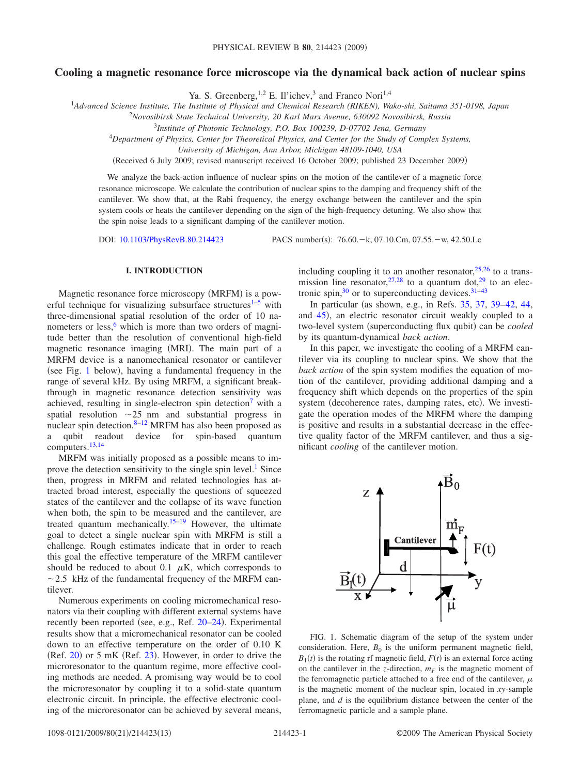# **Cooling a magnetic resonance force microscope via the dynamical back action of nuclear spins**

Ya. S. Greenberg, <sup>1,2</sup> E. Il'ichev,<sup>3</sup> and Franco Nori<sup>1,4</sup>

1 *Advanced Science Institute, The Institute of Physical and Chemical Research (RIKEN), Wako-shi, Saitama 351-0198, Japan*

2 *Novosibirsk State Technical University, 20 Karl Marx Avenue, 630092 Novosibirsk, Russia*

3 *Institute of Photonic Technology, P.O. Box 100239, D-07702 Jena, Germany*

<sup>4</sup>*Department of Physics, Center for Theoretical Physics, and Center for the Study of Complex Systems,*

*University of Michigan, Ann Arbor, Michigan 48109-1040, USA*

Received 6 July 2009; revised manuscript received 16 October 2009; published 23 December 2009-

We analyze the back-action influence of nuclear spins on the motion of the cantilever of a magnetic force resonance microscope. We calculate the contribution of nuclear spins to the damping and frequency shift of the cantilever. We show that, at the Rabi frequency, the energy exchange between the cantilever and the spin system cools or heats the cantilever depending on the sign of the high-frequency detuning. We also show that the spin noise leads to a significant damping of the cantilever motion.

DOI: [10.1103/PhysRevB.80.214423](http://dx.doi.org/10.1103/PhysRevB.80.214423)

PACS number(s): 76.60. - k, 07.10.Cm, 07.55. - w, 42.50.Lc

#### **I. INTRODUCTION**

Magnetic resonance force microscopy (MRFM) is a pow-erful technique for visualizing subsurface structures<sup>1[–5](#page-11-1)</sup> with three-dimensional spatial resolution of the order of 10 nanometers or less, $6$  which is more than two orders of magnitude better than the resolution of conventional high-field magnetic resonance imaging (MRI). The main part of a MRFM device is a nanomechanical resonator or cantilever (see Fig. [1](#page-0-0) below), having a fundamental frequency in the range of several kHz. By using MRFM, a significant breakthrough in magnetic resonance detection sensitivity was achieved, resulting in single-electron spin detection<sup>7</sup> with a spatial resolution  $\sim$  25 nm and substantial progress in nuclear spin detection. $8-12$  $8-12$  MRFM has also been proposed as a qubit readout device for spin-based quantum computers[.13,](#page-11-6)[14](#page-11-7)

MRFM was initially proposed as a possible means to improve the detection sensitivity to the single spin level.<sup>1</sup> Since then, progress in MRFM and related technologies has attracted broad interest, especially the questions of squeezed states of the cantilever and the collapse of its wave function when both, the spin to be measured and the cantilever, are treated quantum mechanically.<sup>15–[19](#page-11-9)</sup> However, the ultimate goal to detect a single nuclear spin with MRFM is still a challenge. Rough estimates indicate that in order to reach this goal the effective temperature of the MRFM cantilever should be reduced to about 0.1  $\mu$ K, which corresponds to  $\sim$ 2.5 kHz of the fundamental frequency of the MRFM cantilever.

Numerous experiments on cooling micromechanical resonators via their coupling with different external systems have recently been reported (see, e.g., Ref. [20–](#page-11-10)[24](#page-11-11)). Experimental results show that a micromechanical resonator can be cooled down to an effective temperature on the order of 0.10 K  $(Ref. 20)$  $(Ref. 20)$  $(Ref. 20)$  or 5 mK  $(Ref. 23)$  $(Ref. 23)$  $(Ref. 23)$ . However, in order to drive the microresonator to the quantum regime, more effective cooling methods are needed. A promising way would be to cool the microresonator by coupling it to a solid-state quantum electronic circuit. In principle, the effective electronic cooling of the microresonator can be achieved by several means, including coupling it to an another resonator,  $25,26$  $25,26$  to a transmission line resonator,  $27,28$  $27,28$  to a quantum dot,  $29$  to an electronic spin, $30$  or to superconducting devices.  $31-43$ 

In particular (as shown, e.g., in Refs.  $35, 37, 39-42, 44,$  $35, 37, 39-42, 44,$  $35, 37, 39-42, 44,$  $35, 37, 39-42, 44,$  $35, 37, 39-42, 44,$  $35, 37, 39-42, 44,$  $35, 37, 39-42, 44,$ and [45](#page-11-26)), an electric resonator circuit weakly coupled to a two-level system (superconducting flux qubit) can be *cooled* by its quantum-dynamical *back action*.

In this paper, we investigate the cooling of a MRFM cantilever via its coupling to nuclear spins. We show that the *back action* of the spin system modifies the equation of motion of the cantilever, providing additional damping and a frequency shift which depends on the properties of the spin system (decoherence rates, damping rates, etc). We investigate the operation modes of the MRFM where the damping is positive and results in a substantial decrease in the effective quality factor of the MRFM cantilever, and thus a significant *cooling* of the cantilever motion.

<span id="page-0-0"></span>

FIG. 1. Schematic diagram of the setup of the system under consideration. Here,  $B_0$  is the uniform permanent magnetic field,  $B_1(t)$  is the rotating rf magnetic field,  $F(t)$  is an external force acting on the cantilever in the *z*-direction,  $m_F$  is the magnetic moment of the ferromagnetic particle attached to a free end of the cantilever,  $\mu$ is the magnetic moment of the nuclear spin, located in *xy*-sample plane, and *d* is the equilibrium distance between the center of the ferromagnetic particle and a sample plane.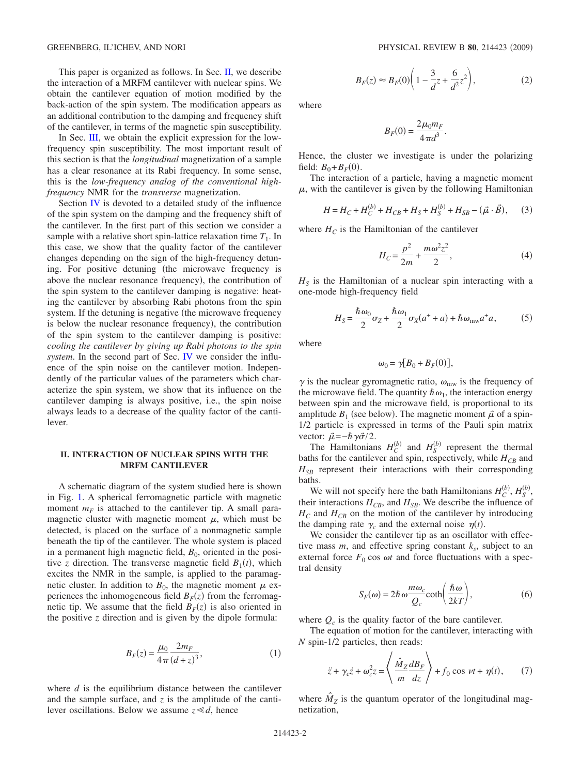This paper is organized as follows. In Sec. [II,](#page-1-0) we describe the interaction of a MRFM cantilever with nuclear spins. We obtain the cantilever equation of motion modified by the back-action of the spin system. The modification appears as an additional contribution to the damping and frequency shift of the cantilever, in terms of the magnetic spin susceptibility.

In Sec. [III,](#page-2-0) we obtain the explicit expression for the lowfrequency spin susceptibility. The most important result of this section is that the *longitudinal* magnetization of a sample has a clear resonance at its Rabi frequency. In some sense, this is the *low-frequency analog of the conventional highfrequency* NMR for the *transverse* magnetization.

Section [IV](#page-5-0) is devoted to a detailed study of the influence of the spin system on the damping and the frequency shift of the cantilever. In the first part of this section we consider a sample with a relative short spin-lattice relaxation time  $T_1$ . In this case, we show that the quality factor of the cantilever changes depending on the sign of the high-frequency detuning. For positive detuning (the microwave frequency is above the nuclear resonance frequency), the contribution of the spin system to the cantilever damping is negative: heating the cantilever by absorbing Rabi photons from the spin system. If the detuning is negative (the microwave frequency is below the nuclear resonance frequency), the contribution of the spin system to the cantilever damping is positive: *cooling the cantilever by giving up Rabi photons to the spin system*. In the second part of Sec. [IV](#page-5-0) we consider the influence of the spin noise on the cantilever motion. Independently of the particular values of the parameters which characterize the spin system, we show that its influence on the cantilever damping is always positive, i.e., the spin noise always leads to a decrease of the quality factor of the cantilever.

# <span id="page-1-0"></span>**II. INTERACTION OF NUCLEAR SPINS WITH THE MRFM CANTILEVER**

A schematic diagram of the system studied here is shown in Fig. [1.](#page-0-0) A spherical ferromagnetic particle with magnetic moment  $m_F$  is attached to the cantilever tip. A small paramagnetic cluster with magnetic moment  $\mu$ , which must be detected, is placed on the surface of a nonmagnetic sample beneath the tip of the cantilever. The whole system is placed in a permanent high magnetic field,  $B<sub>0</sub>$ , oriented in the positive *z* direction. The transverse magnetic field  $B_1(t)$ , which excites the NMR in the sample, is applied to the paramagnetic cluster. In addition to  $B_0$ , the magnetic moment  $\mu$  experiences the inhomogeneous field  $B_F(z)$  from the ferromagnetic tip. We assume that the field  $B_F(z)$  is also oriented in the positive *z* direction and is given by the dipole formula:

$$
B_F(z) = \frac{\mu_0}{4\pi} \frac{2m_F}{(d+z)^3},\tag{1}
$$

<span id="page-1-4"></span>where *d* is the equilibrium distance between the cantilever and the sample surface, and *z* is the amplitude of the cantilever oscillations. Below we assume  $z \ll d$ , hence

$$
B_F(z) \approx B_F(0) \bigg( 1 - \frac{3}{d} z + \frac{6}{d^2} z^2 \bigg),
$$
 (2)

<span id="page-1-1"></span>where

$$
B_F(0) = \frac{2\mu_0 m_F}{4\pi d^3}.
$$

Hence, the cluster we investigate is under the polarizing field:  $B_0 + B_F(0)$ .

The interaction of a particle, having a magnetic moment  $\mu$ , with the cantilever is given by the following Hamiltonian

<span id="page-1-3"></span>
$$
H = H_C + H_C^{(b)} + H_{CB} + H_S + H_S^{(b)} + H_{SB} - (\vec{\mu} \cdot \vec{B}), \quad (3)
$$

where  $H_C$  is the Hamiltonian of the cantilever

$$
H_C = \frac{p^2}{2m} + \frac{m\omega^2 z^2}{2},
$$
 (4)

 $H<sub>S</sub>$  is the Hamiltonian of a nuclear spin interacting with a one-mode high-frequency field

$$
H_S = \frac{\hbar \omega_0}{2} \sigma_Z + \frac{\hbar \omega_1}{2} \sigma_X(a^+ + a) + \hbar \omega_{\text{mw}} a^+ a,\tag{5}
$$

where

$$
\omega_0 = \gamma [B_0 + B_F(0)],
$$

 $\gamma$  is the nuclear gyromagnetic ratio,  $\omega_{\text{mw}}$  is the frequency of the microwave field. The quantity  $\hbar \omega_1$ , the interaction energy between spin and the microwave field, is proportional to its amplitude  $B_1$  (see below). The magnetic moment  $\vec{\mu}$  of a spin-1/2 particle is expressed in terms of the Pauli spin matrix vector:  $\vec{\mu} = -\hbar \gamma \vec{\sigma}/2$ .

The Hamiltonians  $H_C^{(b)}$  and  $H_S^{(b)}$  represent the thermal baths for the cantilever and spin, respectively, while  $H_{CB}$  and  $H_{SB}$  represent their interactions with their corresponding baths.

We will not specify here the bath Hamiltonians  $H_C^{(b)}$ ,  $H_S^{(b)}$ , their interactions  $H_{CB}$ , and  $H_{SB}$ . We describe the influence of  $H_C$  and  $H_{CB}$  on the motion of the cantilever by introducing the damping rate  $\gamma_c$  and the external noise  $\eta(t)$ .

We consider the cantilever tip as an oscillator with effective mass  $m$ , and effective spring constant  $k_s$ , subject to an external force  $F_0$  cos  $\omega t$  and force fluctuations with a spectral density

$$
S_F(\omega) = 2\hbar\omega \frac{m\omega_c}{Q_c} \coth\left(\frac{\hbar\omega}{2kT}\right),\tag{6}
$$

where  $Q_c$  is the quality factor of the bare cantilever.

<span id="page-1-2"></span>The equation of motion for the cantilever, interacting with *N* spin-1/2 particles, then reads:

$$
\ddot{z} + \gamma_c \dot{z} + \omega_c^2 z = \left\langle \frac{\hat{M}_Z}{m} \frac{dB_F}{dz} \right\rangle + f_0 \cos \nu t + \eta(t), \qquad (7)
$$

where  $M_Z$  is the quantum operator of the longitudinal magnetization,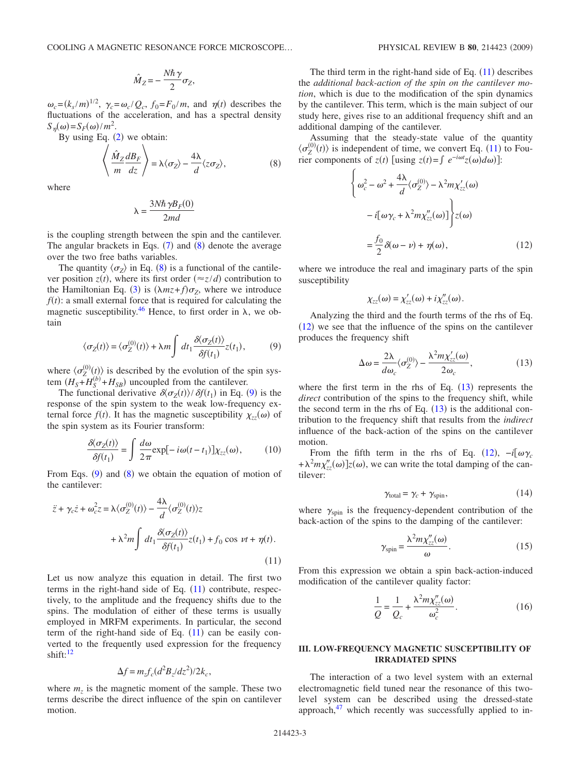$$
\hat{M}_Z = -\frac{N\hbar\,\gamma}{2}\sigma_Z,
$$

 $\omega_c = (k_s/m)^{1/2}$ ,  $\gamma_c = \omega_c/Q_c$ ,  $f_0 = F_0/m$ , and  $\eta(t)$  describes the fluctuations of the acceleration, and has a spectral density  $S_{\eta}(\omega) = S_F(\omega)/m^2$ .

<span id="page-2-1"></span>

By using Eq. (2) we obtain:  
\n
$$
\left\langle \frac{\hat{M}_Z}{m} \frac{dB_F}{dz} \right\rangle = \lambda \langle \sigma_Z \rangle - \frac{4\lambda}{d} \langle z \sigma_Z \rangle, \tag{8}
$$

where

$$
\lambda = \frac{3N\hbar\,\gamma B_F(0)}{2md}
$$

is the coupling strength between the spin and the cantilever. The angular brackets in Eqs.  $(7)$  $(7)$  $(7)$  and  $(8)$  $(8)$  $(8)$  denote the average over the two free baths variables.

The quantity  $\langle \sigma_Z \rangle$  in Eq. ([8](#page-2-1)) is a functional of the cantilever position  $z(t)$ , where its first order  $(\approx z/d)$  contribution to the Hamiltonian Eq. ([3](#page-1-3)) is  $(\lambda mz + f)\sigma_z$ , where we introduce  $f(t)$ : a small external force that is required for calculating the magnetic susceptibility.<sup>46</sup> Hence, to first order in  $\lambda$ , we obtain

$$
\langle \sigma_Z(t) \rangle = \langle \sigma_Z^{(0)}(t) \rangle + \lambda m \int dt_1 \frac{\partial \langle \sigma_Z(t) \rangle}{\partial f(t_1)} z(t_1), \tag{9}
$$

<span id="page-2-2"></span>where  $\langle \sigma_Z^{(0)}(t) \rangle$  is described by the evolution of the spin system  $(H_S + H_S^{(b)} + H_{SB})$  uncoupled from the cantilever.

The functional derivative  $\delta \langle \sigma_Z(t) \rangle / \delta f(t_1)$  in Eq. ([9](#page-2-2)) is the response of the spin system to the weak low-frequency external force  $f(t)$ . It has the magnetic susceptibility  $\chi_{zz}(\omega)$  of the spin system as its Fourier transform:

$$
\frac{\partial \langle \sigma_Z(t) \rangle}{\partial f(t_1)} = \int \frac{d\omega}{2\pi} \exp[-i\omega(t - t_1)] \chi_{zz}(\omega), \quad (10)
$$

<span id="page-2-6"></span>From Eqs.  $(9)$  $(9)$  $(9)$  and  $(8)$  $(8)$  $(8)$  we obtain the equation of motion of the cantilever:

<span id="page-2-3"></span>
$$
\ddot{z} + \gamma_c \dot{z} + \omega_c^2 z = \lambda \langle \sigma_z^{(0)}(t) \rangle - \frac{4\lambda}{d} \langle \sigma_z^{(0)}(t) \rangle z
$$

$$
+ \lambda^2 m \int dt_1 \frac{\partial \langle \sigma_z(t) \rangle}{\partial f(t_1)} z(t_1) + f_0 \cos \nu t + \eta(t).
$$
\n(11)

Let us now analyze this equation in detail. The first two terms in the right-hand side of Eq.  $(11)$  $(11)$  $(11)$  contribute, respectively, to the amplitude and the frequency shifts due to the spins. The modulation of either of these terms is usually employed in MRFM experiments. In particular, the second term of the right-hand side of Eq.  $(11)$  $(11)$  $(11)$  can be easily converted to the frequently used expression for the frequency shift: $12$ 

$$
\Delta f = m_z f_c (d^2 B_z / dz^2) / 2k_c,
$$

where  $m<sub>z</sub>$  is the magnetic moment of the sample. These two terms describe the direct influence of the spin on cantilever motion.

The third term in the right-hand side of Eq.  $(11)$  $(11)$  $(11)$  describes the *additional back-action of the spin on the cantilever motion*, which is due to the modification of the spin dynamics by the cantilever. This term, which is the main subject of our study here, gives rise to an additional frequency shift and an additional damping of the cantilever.

<span id="page-2-4"></span>Assuming that the steady-state value of the quantity  $\langle \sigma_Z^{(0)}(t) \rangle$  is independent of time, we convert Eq. ([11](#page-2-3)) to Fourier components of  $z(t)$  [using  $z(t) = \int e^{-i\omega t} z(\omega) d\omega$ ]:

$$
\begin{cases}\n\omega_c^2 - \omega^2 + \frac{4\lambda}{d} \langle \sigma_Z^{(0)} \rangle - \lambda^2 m \chi_{zz}'(\omega) \\
- i[\omega \gamma_c + \lambda^2 m \chi_{zz}''(\omega)]\n\end{cases}\n\ge \int z(\omega)\n= \frac{f_0}{2} \delta(\omega - \nu) + \eta(\omega),
$$
\n(12)

where we introduce the real and imaginary parts of the spin susceptibility

$$
\chi_{zz}(\omega) = \chi'_{zz}(\omega) + i \chi''_{zz}(\omega).
$$

Analyzing the third and the fourth terms of the rhs of Eq.  $(12)$  $(12)$  $(12)$  we see that the influence of the spins on the cantilever produces the frequency shift

$$
\Delta \omega = \frac{2\lambda}{d\omega_c} \langle \sigma_Z^{(0)} \rangle - \frac{\lambda^2 m \chi_{zz}'(\omega)}{2\omega_c},\tag{13}
$$

<span id="page-2-5"></span>where the first term in the rhs of Eq.  $(13)$  $(13)$  $(13)$  represents the *direct* contribution of the spins to the frequency shift, while the second term in the rhs of Eq.  $(13)$  $(13)$  $(13)$  is the additional contribution to the frequency shift that results from the *indirect* influence of the back-action of the spins on the cantilever motion.

From the fifth term in the rhs of Eq. ([12](#page-2-4)),  $-i[\omega \gamma_c]$  $+\lambda^2 m \chi''_{zz}(\omega)$ ] $z(\omega)$ , we can write the total damping of the cantilever:

$$
\gamma_{\text{total}} = \gamma_c + \gamma_{\text{spin}},\tag{14}
$$

<span id="page-2-7"></span>where  $\gamma_{\text{spin}}$  is the frequency-dependent contribution of the back-action of the spins to the damping of the cantilever:

$$
\gamma_{\rm spin} = \frac{\lambda^2 m \chi''_{zz}(\omega)}{\omega}.
$$
 (15)

<span id="page-2-8"></span>From this expression we obtain a spin back-action-induced modification of the cantilever quality factor:

$$
\frac{1}{Q} = \frac{1}{Q_c} + \frac{\lambda^2 m \chi_{zz}''(\omega)}{\omega_c^2}.
$$
\n(16)

# <span id="page-2-0"></span>**III. LOW-FREQUENCY MAGNETIC SUSCEPTIBILITY OF IRRADIATED SPINS**

The interaction of a two level system with an external electromagnetic field tuned near the resonance of this twolevel system can be described using the dressed-state approach, $47$  which recently was successfully applied to in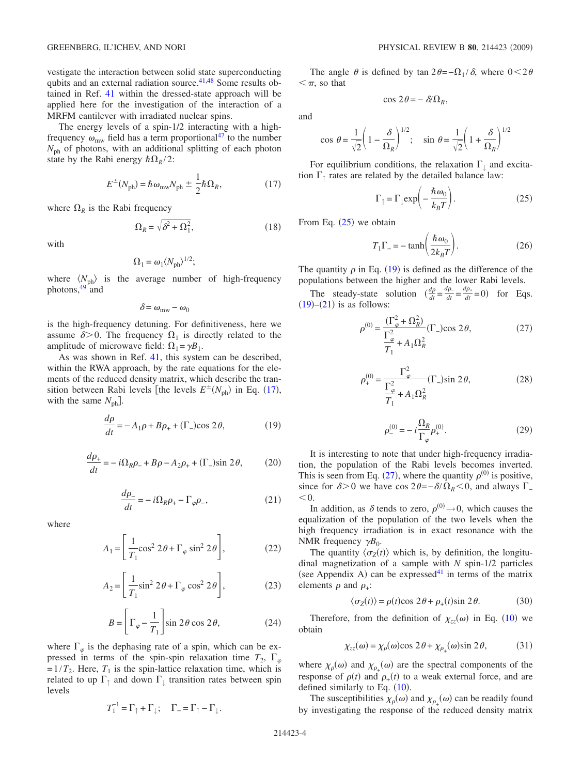vestigate the interaction between solid state superconducting qubits and an external radiation source. $41,48$  $41,48$  Some results obtained in Ref. [41](#page-11-29) within the dressed-state approach will be applied here for the investigation of the interaction of a MRFM cantilever with irradiated nuclear spins.

The energy levels of a spin-1/2 interacting with a highfrequency  $\omega_{\text{mw}}$  field has a term proportional<sup>47</sup> to the number  $N_{ph}$  of photons, with an additional splitting of each photon state by the Rabi energy  $\hbar \Omega_R/2$ :

$$
E^{\pm}(N_{\rm ph}) = \hbar \,\omega_{\rm mw} N_{\rm ph} \pm \frac{1}{2} \hbar \Omega_R,\tag{17}
$$

<span id="page-3-0"></span>where  $\Omega_R$  is the Rabi frequency

$$
\Omega_R = \sqrt{\delta^2 + \Omega_1^2},\tag{18}
$$

with

$$
\Omega_1 = \omega_1 \langle N_{\text{ph}} \rangle^{1/2};
$$

where  $\langle N_{\text{ph}} \rangle$  is the average number of high-frequency photons, $49$  and

$$
\delta\!=\omega_{\rm mw}\!-\omega_0
$$

is the high-frequency detuning. For definitiveness, here we assume  $\delta$  > 0. The frequency  $\Omega_1$  is directly related to the amplitude of microwave field:  $\Omega_1 = \gamma B_1$ .

As was shown in Ref. [41,](#page-11-29) this system can be described, within the RWA approach, by the rate equations for the elements of the reduced density matrix, which describe the transition between Rabi levels [the levels  $E^{\pm}(N_{ph})$  in Eq. ([17](#page-3-0)), with the same  $N_{\text{ph}}$ .

$$
\frac{d\rho}{dt} = -A_1 \rho + B\rho_+ + (\Gamma_-)\cos 2\theta,\tag{19}
$$

<span id="page-3-2"></span>
$$
\frac{d\rho_+}{dt} = -i\Omega_R \rho_- + B\rho - A_2 \rho_+ + (\Gamma_-)\sin 2\theta,\qquad(20)
$$

$$
\frac{d\rho_-}{dt} = -i\Omega_R \rho_+ - \Gamma_{\varphi} \rho_-, \tag{21}
$$

<span id="page-3-3"></span>where

$$
A_1 = \left[ \frac{1}{T_1} \cos^2 2\theta + \Gamma_{\varphi} \sin^2 2\theta \right],\tag{22}
$$

$$
A_2 = \left[\frac{1}{T_1}\sin^2 2\theta + \Gamma_\varphi \cos^2 2\theta\right],\tag{23}
$$

$$
B = \left[\Gamma_{\varphi} - \frac{1}{T_1}\right] \sin 2\theta \cos 2\theta, \tag{24}
$$

where  $\Gamma_{\varphi}$  is the dephasing rate of a spin, which can be expressed in terms of the spin-spin relaxation time  $T_2$ ,  $\Gamma_{\varphi}$  $=1/T_2$ . Here,  $T_1$  is the spin-lattice relaxation time, which is related to up  $\Gamma_{\uparrow}$  and down  $\Gamma_{\downarrow}$  transition rates between spin levels

$$
T_1^{-1} = \Gamma_{\uparrow} + \Gamma_{\downarrow}; \quad \Gamma_{-} = \Gamma_{\uparrow} - \Gamma_{\downarrow}.
$$

The angle  $\theta$  is defined by tan  $2\theta = -\Omega_1 / \delta$ , where  $0 < 2\theta$  $\leq$   $\pi$ , so that

$$
\cos 2\theta = -\delta/\Omega_R,
$$

and

$$
\cos \theta = \frac{1}{\sqrt{2}} \left( 1 - \frac{\delta}{\Omega_R} \right)^{1/2}; \quad \sin \theta = \frac{1}{\sqrt{2}} \left( 1 + \frac{\delta}{\Omega_R} \right)^{1/2}
$$

<span id="page-3-1"></span>For equilibrium conditions, the relaxation  $\Gamma_+$  and excitation  $\Gamma$ <sub>↑</sub> rates are related by the detailed balance law:

$$
\Gamma_{\uparrow} = \Gamma_{\downarrow} \exp\left(-\frac{\hbar \omega_0}{k_B T}\right). \tag{25}
$$

<span id="page-3-7"></span>From Eq.  $(25)$  $(25)$  $(25)$  we obtain

$$
T_1 \Gamma_- = -\tanh\left(\frac{\hbar \omega_0}{2k_B T}\right). \tag{26}
$$

The quantity  $\rho$  in Eq. ([19](#page-3-2)) is defined as the difference of the populations between the higher and the lower Rabi levels.

<span id="page-3-4"></span>The steady-state solution  $\left(\frac{dp}{dt} = \frac{dp_+}{dt} = \frac{dp_+}{dt} = 0\right)$  for Eqs.  $(19)$  $(19)$  $(19)$ – $(21)$  $(21)$  $(21)$  is as follows:

$$
\rho^{(0)} = \frac{\left(\Gamma_{\varphi}^{2} + \Omega_{R}^{2}\right)}{\Gamma_{\varphi}^{2}} \left(\Gamma_{-}\right) \cos 2\theta, \tag{27}
$$

<span id="page-3-5"></span>
$$
\rho_{+}^{(0)} = \frac{\Gamma_{\varphi}^{2}}{\Gamma_{\varphi}^{2} + A_{1} \Omega_{R}^{2}} (\Gamma_{-}) \sin 2\theta,
$$
\n(28)

$$
\rho_{-}^{(0)} = -i\frac{\Omega_{R}}{\Gamma_{\varphi}}\rho_{+}^{(0)}.
$$
\n(29)

<span id="page-3-6"></span>It is interesting to note that under high-frequency irradiation, the population of the Rabi levels becomes inverted. This is seen from Eq. ([27](#page-3-4)), where the quantity  $\rho^{(0)}$  is positive, since for  $\delta > 0$  we have cos  $2\theta = -\delta/\Omega_R < 0$ , and always  $\Gamma$  $< 0$ .

In addition, as  $\delta$  tends to zero,  $\rho^{(0)} \rightarrow 0$ , which causes the equalization of the population of the two levels when the high frequency irradiation is in exact resonance with the NMR frequency  $\gamma B_0$ .

The quantity  $\langle \sigma_Z(t) \rangle$  which is, by definition, the longitudinal magnetization of a sample with *N* spin-1/2 particles (see Appendix A) can be expressed<sup>41</sup> in terms of the matrix elements  $\rho$  and  $\rho_{+}$ :

$$
\langle \sigma_Z(t) \rangle = \rho(t) \cos 2\theta + \rho_+(t) \sin 2\theta. \tag{30}
$$

<span id="page-3-8"></span>Therefore, from the definition of  $\chi_{zz}(\omega)$  in Eq. ([10](#page-2-6)) we obtain

$$
\chi_{zz}(\omega) = \chi_{\rho}(\omega)\cos 2\theta + \chi_{\rho_{+}}(\omega)\sin 2\theta, \tag{31}
$$

where  $\chi_{\rho}(\omega)$  and  $\chi_{\rho_{+}}(\omega)$  are the spectral components of the response of  $\rho(t)$  and  $\rho_+(t)$  to a weak external force, and are defined similarly to Eq.  $(10)$  $(10)$  $(10)$ .

The susceptibilities  $\chi_{\rho}(\omega)$  and  $\chi_{\rho_{+}}(\omega)$  can be readily found by investigating the response of the reduced density matrix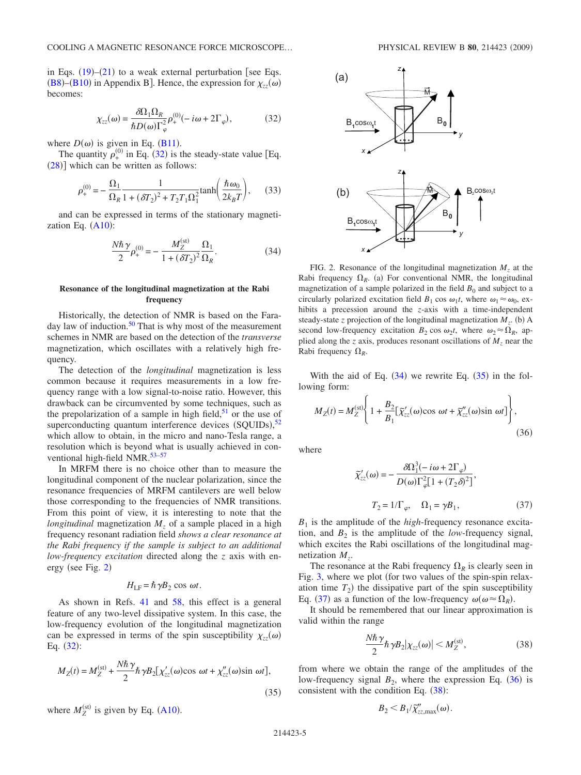in Eqs.  $(19)$  $(19)$  $(19)$ – $(21)$  $(21)$  $(21)$  to a weak external perturbation [see Eqs. ([B8](#page-10-0))–([B10](#page-10-1)) in Appendix B]. Hence, the expression for  $\chi_{zz}(\omega)$ becomes:

$$
\chi_{zz}(\omega) = \frac{\delta \Omega_1 \Omega_R}{\hbar D(\omega) \Gamma_\varphi^2} \rho_+^{(0)}(-i\omega + 2\Gamma_\varphi),\tag{32}
$$

<span id="page-4-0"></span>where  $D(\omega)$  is given in Eq. ([B11](#page-10-2)).

The quantity  $\rho_{+}^{(0)}$  in Eq. ([32](#page-4-0)) is the steady-state value [Eq.  $(28)$  $(28)$  $(28)$ ] which can be written as follows:

$$
\rho_{+}^{(0)} = -\frac{\Omega_{1}}{\Omega_{R}} \frac{1}{1 + (\delta T_{2})^{2} + T_{2}T_{1}\Omega_{1}^{2}} \tanh\left(\frac{\hbar \omega_{0}}{2k_{B}T}\right), \quad (33)
$$

<span id="page-4-2"></span>and can be expressed in terms of the stationary magnetization Eq.  $(A10)$  $(A10)$  $(A10)$ :

$$
\frac{N\hbar\,\gamma}{2}\rho_{+}^{(0)} = -\frac{M_Z^{(\rm st)}}{1 + (\delta T_2)^2} \frac{\Omega_1}{\Omega_R}.\tag{34}
$$

#### **Resonance of the longitudinal magnetization at the Rabi frequency**

Historically, the detection of NMR is based on the Faraday law of induction.<sup>50</sup> That is why most of the measurement schemes in NMR are based on the detection of the *transverse* magnetization, which oscillates with a relatively high frequency.

The detection of the *longitudinal* magnetization is less common because it requires measurements in a low frequency range with a low signal-to-noise ratio. However, this drawback can be circumvented by some techniques, such as the prepolarization of a sample in high field, $51$  or the use of superconducting quantum interference devices  $(SQUIDS)$ ,<sup>[52](#page-11-34)</sup> which allow to obtain, in the micro and nano-Tesla range, a resolution which is beyond what is usually achieved in conventional high-field NMR.<sup>53-57</sup>

In MRFM there is no choice other than to measure the longitudinal component of the nuclear polarization, since the resonance frequencies of MRFM cantilevers are well below those corresponding to the frequencies of NMR transitions. From this point of view, it is interesting to note that the *longitudinal* magnetization *M<sub>z</sub>* of a sample placed in a high frequency resonant radiation field *shows a clear resonance at the Rabi frequency if the sample is subject to an additional low-frequency excitation* directed along the *z* axis with en-ergy (see Fig. [2](#page-4-1))

# $H_{\text{LF}} = \hbar \gamma B_2 \cos \omega t$ .

As shown in Refs. [41](#page-11-29) and [58,](#page-12-0) this effect is a general feature of any two-level dissipative system. In this case, the low-frequency evolution of the longitudinal magnetization can be expressed in terms of the spin susceptibility  $\chi_{zz}(\omega)$ Eq.  $(32)$  $(32)$  $(32)$ :

<span id="page-4-3"></span>
$$
M_Z(t) = M_Z^{(\rm st)} + \frac{N\hbar\,\gamma}{2} \hbar\,\gamma B_2[\chi_{zz}'(\omega)\cos\,\omega t + \chi_{zz}''(\omega)\sin\,\omega t],\tag{35}
$$

where  $M_Z^{(\text{st})}$  is given by Eq. ([A10](#page-9-0)).

<span id="page-4-1"></span>

FIG. 2. Resonance of the longitudinal magnetization  $M<sub>z</sub>$  at the Rabi frequency  $\Omega_R$ . (a) For conventional NMR, the longitudinal magnetization of a sample polarized in the field  $B_0$  and subject to a circularly polarized excitation field  $B_1 \cos \omega_1 t$ , where  $\omega_1 \approx \omega_0$ , exhibits a precession around the *z*-axis with a time-independent steady-state *z* projection of the longitudinal magnetization  $M_z$ . (b) A second low-frequency excitation  $B_2 \cos \omega_2 t$ , where  $\omega_2 \approx \Omega_R$ , applied along the *z* axis, produces resonant oscillations of  $M_z$  near the Rabi frequency  $\Omega_R$ .

With the aid of Eq.  $(34)$  $(34)$  $(34)$  we rewrite Eq.  $(35)$  $(35)$  $(35)$  in the following form:

<span id="page-4-5"></span>
$$
M_Z(t) = M_Z^{(\rm st)} \left\{ 1 + \frac{B_2}{B_1} [\tilde{\chi}'_{zz}(\omega) \cos \omega t + \tilde{\chi}''_{zz}(\omega) \sin \omega t] \right\},\tag{36}
$$

<span id="page-4-4"></span>where

$$
\widetilde{\chi}'_{zz}(\omega) = -\frac{\delta \Omega_1^3 (-i\omega + 2\Gamma_{\varphi})}{D(\omega)\Gamma_{\varphi}^2 [1 + (T_2 \delta)^2]},
$$
\n
$$
T_2 = 1/\Gamma_{\varphi}, \quad \Omega_1 = \gamma B_1,
$$
\n(37)

 $B_1$  is the amplitude of the *high*-frequency resonance excitation, and  $B_2$  is the amplitude of the *low*-frequency signal, which excites the Rabi oscillations of the longitudinal magnetization *Mz*.

The resonance at the Rabi frequency  $\Omega_R$  is clearly seen in Fig. [3,](#page-5-1) where we plot (for two values of the spin-spin relaxation time  $T_2$ ) the dissipative part of the spin susceptibility Eq. ([37](#page-4-4)) as a function of the low-frequency  $\omega(\omega \approx \Omega_R)$ .

<span id="page-4-6"></span>It should be remembered that our linear approximation is valid within the range

$$
\frac{N\hbar\,\gamma}{2}\hbar\,\gamma B_2|\chi_{zz}(\omega)|
$$

.

from where we obtain the range of the amplitudes of the low-frequency signal  $B_2$ , where the expression Eq. ([36](#page-4-5)) is consistent with the condition Eq.  $(38)$  $(38)$  $(38)$ :

$$
B_2 < B_1/\widetilde{\chi}''_{zz,\text{max}}(\omega)
$$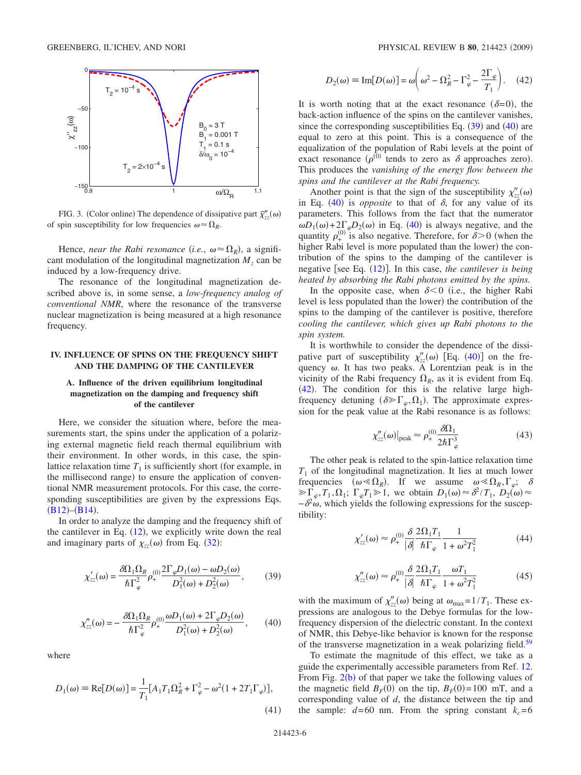<span id="page-5-1"></span>

FIG. 3. (Color online) The dependence of dissipative part  $\tilde{\chi}''_{zz}(\omega)$ of spin susceptibility for low frequencies  $\omega \approx \Omega_R$ .

Hence, *near the Rabi resonance* (*i.e.*,  $\omega \approx \Omega_R$ ), a significant modulation of the longitudinal magnetization  $M<sub>z</sub>$  can be induced by a low-frequency drive.

The resonance of the longitudinal magnetization described above is, in some sense, a *low-frequency analog of conventional NMR*, where the resonance of the transverse nuclear magnetization is being measured at a high resonance frequency.

## <span id="page-5-0"></span>**IV. INFLUENCE OF SPINS ON THE FREQUENCY SHIFT AND THE DAMPING OF THE CANTILEVER**

## **A. Influence of the driven equilibrium longitudinal magnetization on the damping and frequency shift of the cantilever**

Here, we consider the situation where, before the measurements start, the spins under the application of a polarizing external magnetic field reach thermal equilibrium with their environment. In other words, in this case, the spinlattice relaxation time  $T_1$  is sufficiently short (for example, in the millisecond range) to ensure the application of conventional NMR measurement protocols. For this case, the corresponding susceptibilities are given by the expressions Eqs.  $(B12)$  $(B12)$  $(B12)$ – $(B14)$  $(B14)$  $(B14)$ .

In order to analyze the damping and the frequency shift of the cantilever in Eq.  $(12)$  $(12)$  $(12)$ , we explicitly write down the real and imaginary parts of  $\chi_{zz}(\omega)$  from Eq. ([32](#page-4-0)):

<span id="page-5-2"></span>
$$
\chi'_{zz}(\omega) = \frac{\delta \Omega_1 \Omega_R}{\hbar \Gamma_\varphi^2} \rho_+^{(0)} \frac{2 \Gamma_\varphi D_1(\omega) - \omega D_2(\omega)}{D_1^2(\omega) + D_2^2(\omega)},\tag{39}
$$

<span id="page-5-3"></span>
$$
\chi''_{zz}(\omega) = -\frac{\delta \Omega_1 \Omega_R}{\hbar \Gamma_\varphi^2} \rho_+^{(0)} \frac{\omega D_1(\omega) + 2\Gamma_\varphi D_2(\omega)}{D_1^2(\omega) + D_2^2(\omega)},\qquad(40)
$$

where

$$
D_1(\omega) = \text{Re}[D(\omega)] = \frac{1}{T_1} [A_1 T_1 \Omega_R^2 + \Gamma_\varphi^2 - \omega^2 (1 + 2T_1 \Gamma_\varphi)],
$$
\n(41)

<span id="page-5-4"></span>
$$
D_2(\omega) \equiv \text{Im}[D(\omega)] = \omega \left(\omega^2 - \Omega_R^2 - \Gamma_\varphi^2 - \frac{2\Gamma_\varphi}{T_1}\right). \quad (42)
$$

It is worth noting that at the exact resonance  $(\delta=0)$ , the back-action influence of the spins on the cantilever vanishes, since the corresponding susceptibilities Eq.  $(39)$  $(39)$  $(39)$  and  $(40)$  $(40)$  $(40)$  are equal to zero at this point. This is a consequence of the equalization of the population of Rabi levels at the point of exact resonance  $(\rho^{(0)}$  tends to zero as  $\delta$  approaches zero). This produces the *vanishing of the energy flow between the spins and the cantilever at the Rabi frequency.*

Another point is that the sign of the susceptibility  $\chi''_{zz}(\omega)$ in Eq.  $(40)$  $(40)$  $(40)$  is *opposite* to that of  $\delta$ , for any value of its parameters. This follows from the fact that the numerator  $\omega D_1(\omega) + 2\Gamma \omega \rho D_2(\omega)$  in Eq. ([40](#page-5-3)) is always negative, and the quantity  $\rho_{+}^{(0)}$  is also negative. Therefore, for  $\delta > 0$  (when the higher Rabi level is more populated than the lower) the contribution of the spins to the damping of the cantilever is negative [see Eq. ([12](#page-2-4))]. In this case, *the cantilever is being heated by absorbing the Rabi photons emitted by the spins.*

In the opposite case, when  $\delta \leq 0$  (i.e., the higher Rabi level is less populated than the lower) the contribution of the spins to the damping of the cantilever is positive, therefore *cooling the cantilever, which gives up Rabi photons to the spin system.*

It is worthwhile to consider the dependence of the dissipative part of susceptibility  $\chi''_{zz}(\omega)$  [Eq. ([40](#page-5-3))] on the frequency  $\omega$ . It has two peaks. A Lorentzian peak is in the vicinity of the Rabi frequency  $\Omega_R$ , as it is evident from Eq.  $(42)$  $(42)$  $(42)$ . The condition for this is the relative large highfrequency detuning  $(\delta \gg \Gamma_{\varphi}, \Omega_1)$ . The approximate expression for the peak value at the Rabi resonance is as follows:

$$
\chi''_{zz}(\omega)|_{\text{peak}} \approx \rho_+^{(0)} \frac{\delta\Omega_1}{2\hbar\Gamma_\varphi^3} \tag{43}
$$

The other peak is related to the spin-lattice relaxation time  $T_1$  of the longitudinal magnetization. It lies at much lower frequencies  $(\omega \ll \Omega_R)$ . If we assume  $\omega \ll \Omega_R$ ,  $\Gamma_{\varphi}$ ;  $\delta$  $\gg \Gamma_{\varphi}, T_1, \Omega_1; \ \Gamma_{\varphi} T_1 \gg 1$ , we obtain  $D_1(\omega) \approx \frac{\partial^2}{T_1}, \ D_2(\omega) \approx$  $-\delta^2 \omega$ , which yields the following expressions for the susceptibility:

$$
\chi'_{zz}(\omega) \approx \rho_+^{(0)} \frac{\delta}{|\delta|} \frac{2\Omega_1 T_1}{\hbar \Gamma_\varphi} \frac{1}{1 + \omega^2 T_1^2}
$$
(44)

$$
\chi''_{zz}(\omega) \approx \rho_+^{(0)} \frac{\delta}{|\delta|} \frac{2\Omega_1 T_1}{\hbar \Gamma_\varphi} \frac{\omega T_1}{1 + \omega^2 T_1^2} \tag{45}
$$

with the maximum of  $\chi''_{zz}(\omega)$  being at  $\omega_{\text{max}}=1/T_1$ . These expressions are analogous to the Debye formulas for the lowfrequency dispersion of the dielectric constant. In the context of NMR, this Debye-like behavior is known for the response of the transverse magnetization in a weak polarizing field.<sup>59</sup>

To estimate the magnitude of this effect, we take as a guide the experimentally accessible parameters from Ref. [12.](#page-11-5) From Fig.  $2(b)$  $2(b)$  of that paper we take the following values of the magnetic field  $B_F(0)$  on the tip,  $B_F(0) = 100$  mT, and a corresponding value of *d*, the distance between the tip and the sample:  $d=60$  nm. From the spring constant  $k_c=6$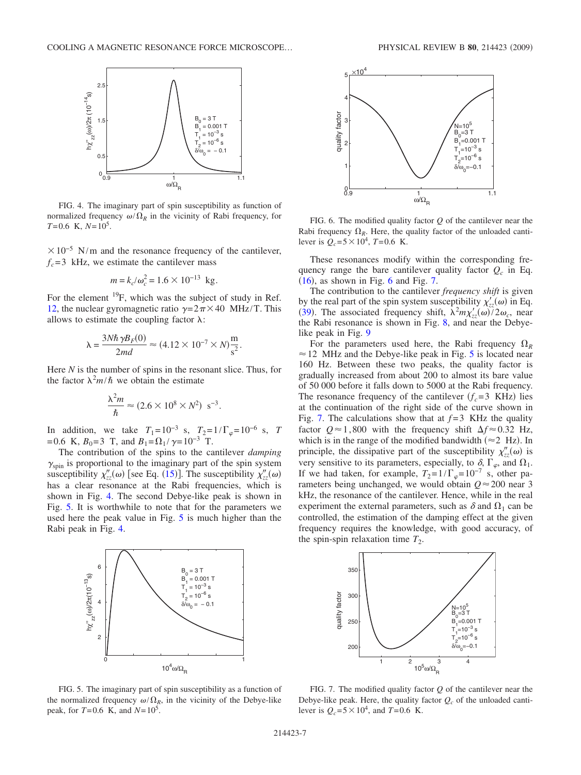<span id="page-6-0"></span>

FIG. 4. The imaginary part of spin susceptibility as function of normalized frequency  $\omega/\Omega_R$  in the vicinity of Rabi frequency, for  $T=0.6$  K,  $N=10^5$ .

 $\times 10^{-5}$  N/m and the resonance frequency of the cantilever,  $f_c = 3$  kHz, we estimate the cantilever mass

$$
m = k_c/\omega_c^2 = 1.6 \times 10^{-13}
$$
 kg.

For the element  $^{19}F$ , which was the subject of study in Ref. [12,](#page-11-5) the nuclear gyromagnetic ratio  $\gamma = 2\pi \times 40$  MHz/T. This allows to estimate the coupling factor  $\lambda$ :

$$
\lambda = \frac{3N\hbar\,\gamma B_F(0)}{2md} \approx (4.12 \times 10^{-7} \times N)\frac{\text{m}}{\text{s}^2}.
$$

Here *N* is the number of spins in the resonant slice. Thus, for the factor  $\lambda^2 m/\hbar$  we obtain the estimate

$$
\frac{\lambda^2 m}{\hbar} \approx (2.6 \times 10^8 \times N^2) \text{ s}^{-3}.
$$

In addition, we take  $T_1=10^{-3}$  s,  $T_2=1/\Gamma_\varphi=10^{-6}$  s, *T* =0.6 K,  $B_0$ =3 T, and  $B_1 = \Omega_1 / \gamma = 10^{-3}$  T.

The contribution of the spins to the cantilever *damping*  $\gamma_{spin}$  is proportional to the imaginary part of the spin system susceptibility  $\chi''_{zz}(\omega)$  [see Eq. ([15](#page-2-7))]. The susceptibility  $\chi''_{zz}(\omega)$ has a clear resonance at the Rabi frequencies, which is shown in Fig. [4.](#page-6-0) The second Debye-like peak is shown in Fig. [5.](#page-6-1) It is worthwhile to note that for the parameters we used here the peak value in Fig. [5](#page-6-1) is much higher than the Rabi peak in Fig. [4.](#page-6-0)

<span id="page-6-1"></span>

FIG. 5. The imaginary part of spin susceptibility as a function of the normalized frequency  $\omega/\Omega_R$ , in the vicinity of the Debye-like peak, for  $T=0.6$  K, and  $N=10^5$ .

<span id="page-6-2"></span>

FIG. 6. The modified quality factor *Q* of the cantilever near the Rabi frequency  $\Omega_R$ . Here, the quality factor of the unloaded cantilever is  $Q_c = 5 \times 10^4$ ,  $T = 0.6$  K.

These resonances modify within the corresponding frequency range the bare cantilever quality factor  $Q_c$  in Eq.  $(16)$  $(16)$  $(16)$ , as shown in Fig. [6](#page-6-2) and Fig. [7.](#page-6-3)

The contribution to the cantilever *frequency shift* is given by the real part of the spin system susceptibility  $\chi'_{zz}(\omega)$  in Eq. ([39](#page-5-2)). The associated frequency shift,  $\lambda^2 m \chi'_{zz}(\omega)/2 \omega_c$ , near the Rabi resonance is shown in Fig. [8,](#page-7-0) and near the Debyelike peak in Fig. [9](#page-7-1)

For the parameters used here, the Rabi frequency  $\Omega_R$  $\approx$  12 MHz and the Debye-like peak in Fig. [5](#page-6-1) is located near 160 Hz. Between these two peaks, the quality factor is gradually increased from about 200 to almost its bare value of 50 000 before it falls down to 5000 at the Rabi frequency. The resonance frequency of the cantilever  $(f_c=3 \text{ KHz})$  lies at the continuation of the right side of the curve shown in Fig. [7.](#page-6-3) The calculations show that at  $f=3$  KHz the quality factor  $Q \approx 1,800$  with the frequency shift  $\Delta f \approx 0.32$  Hz, which is in the range of the modified bandwidth ( $\approx$  2 Hz). In principle, the dissipative part of the susceptibility  $\chi''_{zz}(\omega)$  is very sensitive to its parameters, especially, to  $\delta$ ,  $\Gamma_{\varphi}$ , and  $\Omega_1$ . If we had taken, for example,  $T_2=1/\Gamma_\varphi=10^{-7}$  s, other parameters being unchanged, we would obtain  $Q \approx 200$  near 3 kHz, the resonance of the cantilever. Hence, while in the real experiment the external parameters, such as  $\delta$  and  $\Omega_1$  can be controlled, the estimation of the damping effect at the given frequency requires the knowledge, with good accuracy, of the spin-spin relaxation time  $T_2$ .

<span id="page-6-3"></span>

FIG. 7. The modified quality factor *Q* of the cantilever near the Debye-like peak. Here, the quality factor  $Q_c$  of the unloaded cantilever is  $Q_c = 5 \times 10^4$ , and *T*=0.6 K.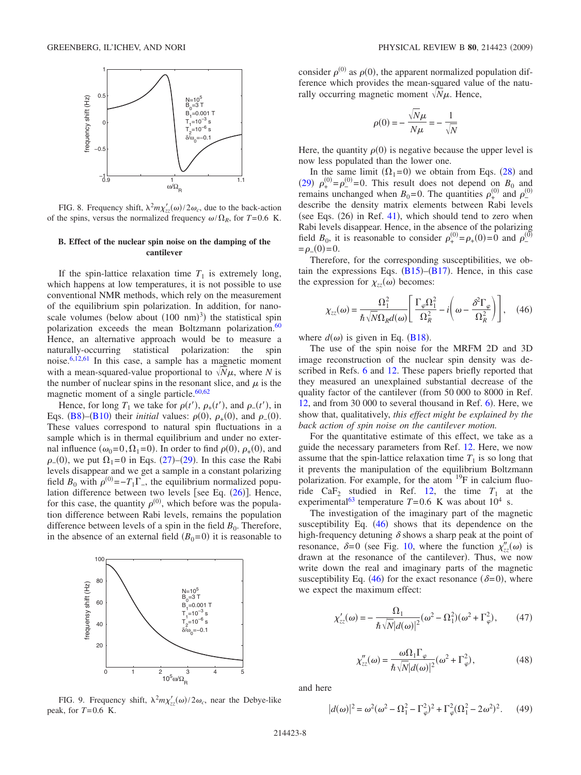<span id="page-7-0"></span>

FIG. 8. Frequency shift,  $\lambda^2 m \chi'_{zz}(\omega)/2 \omega_c$ , due to the back-action of the spins, versus the normalized frequency  $\omega/\Omega_R$ , for *T*=0.6 K.

#### **B. Effect of the nuclear spin noise on the damping of the cantilever**

If the spin-lattice relaxation time  $T_1$  is extremely long, which happens at low temperatures, it is not possible to use conventional NMR methods, which rely on the measurement of the equilibrium spin polarization. In addition, for nanoscale volumes (below about  $(100 \text{ nm})^3$ ) the statistical spin polarization exceeds the mean Boltzmann polarization. $60$ Hence, an alternative approach would be to measure a naturally-occurring statistical polarization: the spin noise[.6,](#page-11-2)[12](#page-11-5)[,61](#page-12-3) In this case, a sample has a magnetic moment with a mean-squared-value proportional to  $\sqrt{N}\mu$ , where *N* is the number of nuclear spins in the resonant slice, and  $\mu$  is the magnetic moment of a single particle. $60,62$  $60,62$ 

Hence, for long  $T_1$  we take for  $\rho(t')$ ,  $\rho_+(t')$ , and  $\rho_-(t')$ , in Eqs. ([B8](#page-10-0))–([B10](#page-10-1)) their *initial* values:  $\rho(0)$ ,  $\rho_{+}(0)$ , and  $\rho_{-}(0)$ . These values correspond to natural spin fluctuations in a sample which is in thermal equilibrium and under no external influence  $(\omega_0=0, \Omega_1=0)$ . In order to find  $\rho(0), \rho_+(0)$ , and  $\rho_-(0)$ , we put  $\Omega_1 = 0$  in Eqs. ([27](#page-3-4))–([29](#page-3-6)). In this case the Rabi levels disappear and we get a sample in a constant polarizing field  $B_0$  with  $\rho^{(0)} = -T_1 \Gamma$ , the equilibrium normalized population difference between two levels [see Eq.  $(26)$  $(26)$  $(26)$ ]. Hence, for this case, the quantity  $\rho^{(0)}$ , which before was the population difference between Rabi levels, remains the population difference between levels of a spin in the field  $B_0$ . Therefore, in the absence of an external field  $(B_0=0)$  it is reasonable to

<span id="page-7-1"></span>

FIG. 9. Frequency shift,  $\lambda^2 m \chi'_{zz}(\omega) / 2 \omega_c$ , near the Debye-like peak, for  $T=0.6$  K.

consider  $\rho^{(0)}$  as  $\rho(0)$ , the apparent normalized population difference which provides the mean-squared value of the naturally occurring magnetic moment  $\sqrt{\overline{N}}\mu$ . Hence,

$$
\rho(0) = -\frac{\sqrt{N}\mu}{N\mu} = -\frac{1}{\sqrt{N}}
$$

Here, the quantity  $\rho(0)$  is negative because the upper level is now less populated than the lower one.

In the same limit  $(\Omega_1=0)$  we obtain from Eqs. ([28](#page-3-5)) and ([29](#page-3-6))  $\rho_+^{(0)} = \rho_-^{(0)} = 0$ . This result does not depend on *B*<sub>0</sub> and remains unchanged when  $B_0 = 0$ . The quantities  $\rho_+^{(0)}$  and  $\rho_-^{(0)}$ describe the density matrix elements between Rabi levels (see Eqs.  $(26)$  in Ref. [41](#page-11-29)), which should tend to zero when Rabi levels disappear. Hence, in the absence of the polarizing field  $B_0$ , it is reasonable to consider  $\rho_+^{(0)} = \rho_+(0) = 0$  and  $\rho_-^{(0)}$  $=\rho_-(0)=0.$ 

Therefore, for the corresponding susceptibilities, we obtain the expressions Eqs.  $(B15)$  $(B15)$  $(B15)$ – $(B17)$  $(B17)$  $(B17)$ . Hence, in this case the expression for  $\chi_{zz}(\omega)$  becomes:

<span id="page-7-2"></span>
$$
\chi_{zz}(\omega) = \frac{\Omega_1^2}{\hbar \sqrt{N} \Omega_R d(\omega)} \left[ \frac{\Gamma_{\varphi} \Omega_1^2}{\Omega_R^2} - i \left( \omega - \frac{\delta^2 \Gamma_{\varphi}}{\Omega_R^2} \right) \right], \quad (46)
$$

where  $d(\omega)$  is given in Eq. ([B18](#page-10-7)).

The use of the spin noise for the MRFM 2D and 3D image reconstruction of the nuclear spin density was de-scribed in Refs. [6](#page-11-2) and [12.](#page-11-5) These papers briefly reported that they measured an unexplained substantial decrease of the quality factor of the cantilever (from 50 000 to 8000 in Ref.  $12$ , and from 30 000 to several thousand in Ref.  $6$ ). Here, we show that, qualitatively, *this effect might be explained by the back action of spin noise on the cantilever motion.*

For the quantitative estimate of this effect, we take as a guide the necessary parameters from Ref. [12.](#page-11-5) Here, we now assume that the spin-lattice relaxation time  $T_1$  is so long that it prevents the manipulation of the equilibrium Boltzmann polarization. For example, for the atom  $^{19}F$  in calcium fluo-ride CaF<sub>2</sub> studied in Ref. [12,](#page-11-5) the time  $T_1$  at the experimental<sup>63</sup> temperature  $T=0.6$  K was about  $10^4$  s.

The investigation of the imaginary part of the magnetic susceptibility Eq.  $(46)$  $(46)$  $(46)$  shows that its dependence on the high-frequency detuning  $\delta$  shows a sharp peak at the point of resonance,  $\delta = 0$  (see Fig. [10,](#page-8-0) where the function  $\chi''_{zz}(\omega)$  is drawn at the resonance of the cantilever). Thus, we now write down the real and imaginary parts of the magnetic susceptibility Eq. ([46](#page-7-2)) for the exact resonance ( $\delta = 0$ ), where we expect the maximum effect:

$$
\chi'_{zz}(\omega) = -\frac{\Omega_1}{\hbar \sqrt{N}|d(\omega)|^2} (\omega^2 - \Omega_1^2)(\omega^2 + \Gamma_\varphi^2), \qquad (47)
$$

$$
\chi''_{zz}(\omega) = \frac{\omega \Omega_1 \Gamma_\varphi}{\hbar \sqrt{N} |d(\omega)|^2} (\omega^2 + \Gamma_\varphi^2),\tag{48}
$$

<span id="page-7-3"></span>and here

$$
|d(\omega)|^2 = \omega^2(\omega^2 - \Omega_1^2 - \Gamma_\varphi^2)^2 + \Gamma_\varphi^2(\Omega_1^2 - 2\omega^2)^2.
$$
 (49)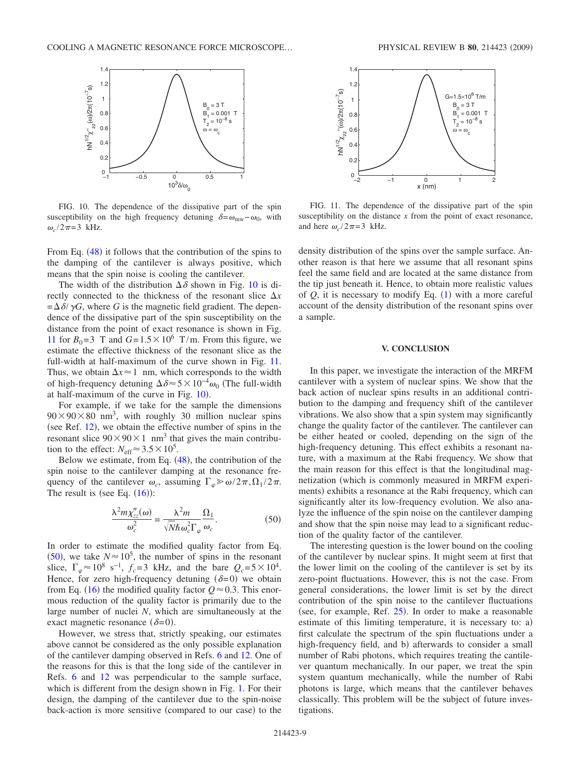<span id="page-8-0"></span>

FIG. 10. The dependence of the dissipative part of the spin susceptibility on the high frequency detuning  $\delta = \omega_{\text{mw}} - \omega_0$ , with  $\omega_c/2\pi=3$  kHz.

From Eq. ([48](#page-7-3)) it follows that the contribution of the spins to the damping of the cantilever is always positive, which means that the spin noise is cooling the cantilever.

The width of the distribution  $\Delta \delta$  shown in Fig. [10](#page-8-0) is directly connected to the thickness of the resonant slice  $\Delta x$  $=\Delta\delta/\gamma G$ , where *G* is the magnetic field gradient. The dependence of the dissipative part of the spin susceptibility on the distance from the point of exact resonance is shown in Fig. [11](#page-8-1) for  $B_0 = 3$  T and  $G = 1.5 \times 10^6$  T/m. From this figure, we estimate the effective thickness of the resonant slice as the full-width at half-maximum of the curve shown in Fig. [11.](#page-8-1) Thus, we obtain  $\Delta x \approx 1$  nm, which corresponds to the width of high-frequency detuning  $\Delta \delta \approx 5 \times 10^{-4} \omega_0$  (The full-width at half-maximum of the curve in Fig.  $10$ ).

For example, if we take for the sample the dimensions  $90 \times 90 \times 80$  nm<sup>3</sup>, with roughly 30 million nuclear spins (see Ref.  $12$ ), we obtain the effective number of spins in the resonant slice  $90 \times 90 \times 1$  nm<sup>3</sup> that gives the main contribution to the effect:  $N_{\text{eff}} \approx 3.5 \times 10^5$ .

Below we estimate, from Eq.  $(48)$  $(48)$  $(48)$ , the contribution of the spin noise to the cantilever damping at the resonance frequency of the cantilever  $\omega_c$ , assuming  $\Gamma_{\varphi} \gg \omega/2\pi, \Omega_1/2\pi$ . The result is (see Eq.  $(16)$  $(16)$  $(16)$ ):

$$
\frac{\lambda^2 m \chi''_{zz}(\omega)}{\omega_c^2} = \frac{\lambda^2 m}{\sqrt{N} \hbar \omega_c^2 \Gamma_{\varphi}} \frac{\Omega_1}{\omega_c}.
$$
 (50)

<span id="page-8-2"></span>In order to estimate the modified quality factor from Eq. ([50](#page-8-2)), we take  $N \approx 10^5$ , the number of spins in the resonant slice,  $\Gamma_{\varphi} \approx 10^8 \text{ s}^{-1}$ ,  $f_c = 3 \text{ kHz}$ , and the bare  $Q_c = 5 \times 10^4$ . Hence, for zero high-frequency detuning  $(\delta=0)$  we obtain from Eq. ([16](#page-2-8)) the modified quality factor  $Q \approx 0.3$ . This enormous reduction of the quality factor is primarily due to the large number of nuclei *N*, which are simultaneously at the exact magnetic resonance  $(\delta=0)$ .

However, we stress that, strictly speaking, our estimates above cannot be considered as the only possible explanation of the cantilever damping observed in Refs. [6](#page-11-2) and [12.](#page-11-5) One of the reasons for this is that the long side of the cantilever in Refs. [6](#page-11-2) and [12](#page-11-5) was perpendicular to the sample surface, which is different from the design shown in Fig. [1.](#page-0-0) For their design, the damping of the cantilever due to the spin-noise back-action is more sensitive (compared to our case) to the

<span id="page-8-1"></span>

FIG. 11. The dependence of the dissipative part of the spin susceptibility on the distance *x* from the point of exact resonance, and here  $\omega_c/2\pi=3$  kHz.

density distribution of the spins over the sample surface. Another reason is that here we assume that all resonant spins feel the same field and are located at the same distance from the tip just beneath it. Hence, to obtain more realistic values of  $Q$ , it is necessary to modify Eq.  $(1)$  $(1)$  $(1)$  with a more careful account of the density distribution of the resonant spins over a sample.

#### **V. CONCLUSION**

In this paper, we investigate the interaction of the MRFM cantilever with a system of nuclear spins. We show that the back action of nuclear spins results in an additional contribution to the damping and frequency shift of the cantilever vibrations. We also show that a spin system may significantly change the quality factor of the cantilever. The cantilever can be either heated or cooled, depending on the sign of the high-frequency detuning. This effect exhibits a resonant nature, with a maximum at the Rabi frequency. We show that the main reason for this effect is that the longitudinal magnetization which is commonly measured in MRFM experiments) exhibits a resonance at the Rabi frequency, which can significantly alter its low-frequency evolution. We also analyze the influence of the spin noise on the cantilever damping and show that the spin noise may lead to a significant reduction of the quality factor of the cantilever.

The interesting question is the lower bound on the cooling of the cantilever by nuclear spins. It might seem at first that the lower limit on the cooling of the cantilever is set by its zero-point fluctuations. However, this is not the case. From general considerations, the lower limit is set by the direct contribution of the spin noise to the cantilever fluctuations (see, for example, Ref.  $25$ ). In order to make a reasonable estimate of this limiting temperature, it is necessary to: a) first calculate the spectrum of the spin fluctuations under a high-frequency field, and b) afterwards to consider a small number of Rabi photons, which requires treating the cantilever quantum mechanically. In our paper, we treat the spin system quantum mechanically, while the number of Rabi photons is large, which means that the cantilever behaves classically. This problem will be the subject of future investigations.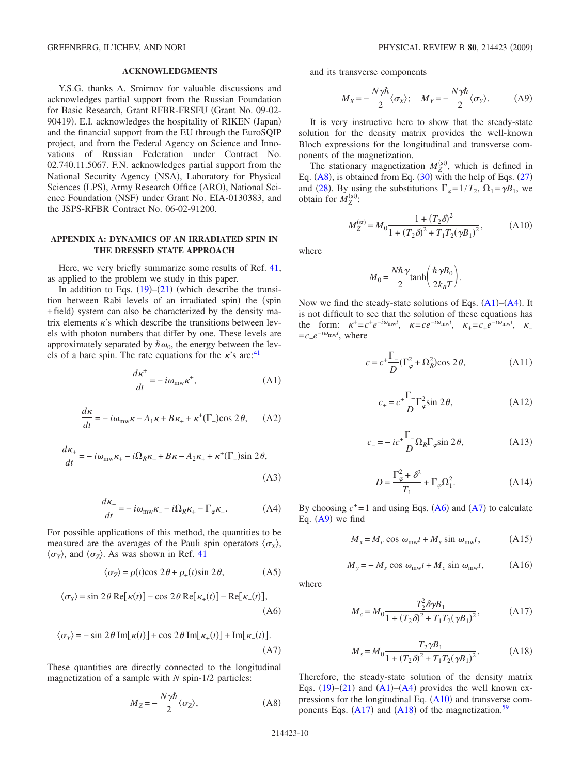#### **ACKNOWLEDGMENTS**

Y.S.G. thanks A. Smirnov for valuable discussions and acknowledges partial support from the Russian Foundation for Basic Research, Grant RFBR-FRSFU Grant No. 09-02- 90419). E.I. acknowledges the hospitality of RIKEN (Japan) and the financial support from the EU through the EuroSQIP project, and from the Federal Agency on Science and Innovations of Russian Federation under Contract No. 02.740.11.5067. F.N. acknowledges partial support from the National Security Agency (NSA), Laboratory for Physical Sciences (LPS), Army Research Office (ARO), National Science Foundation (NSF) under Grant No. EIA-0130383, and the JSPS-RFBR Contract No. 06-02-91200.

### **APPENDIX A: DYNAMICS OF AN IRRADIATED SPIN IN THE DRESSED STATE APPROACH**

Here, we very briefly summarize some results of Ref. [41,](#page-11-29) as applied to the problem we study in this paper.

In addition to Eqs.  $(19)$  $(19)$  $(19)$ – $(21)$  $(21)$  $(21)$  (which describe the transition between Rabi levels of an irradiated spin) the (spin +field) system can also be characterized by the density matrix elements  $\kappa$ 's which describe the transitions between levels with photon numbers that differ by one. These levels are approximately separated by  $\hbar \omega_0$ , the energy between the levels of a bare spin. The rate equations for the  $\kappa$ 's are:<sup>41</sup>

$$
\frac{d\kappa^+}{dt} = -i\omega_{\text{mw}}\kappa^+, \tag{A1}
$$

<span id="page-9-2"></span>
$$
\frac{d\kappa}{dt} = -i\omega_{\text{mw}}\kappa - A_1\kappa + B\kappa_+ + \kappa^+(\Gamma_-)\cos 2\theta, \quad \text{(A2)}
$$

$$
\frac{d\kappa_{+}}{dt} = -i\omega_{\text{mw}}\kappa_{+} - i\Omega_{R}\kappa_{-} + B\kappa - A_{2}\kappa_{+} + \kappa^{+}(\Gamma_{-})\sin 2\theta,
$$
\n(A3)

$$
\frac{d\kappa_{-}}{dt} = -i\omega_{\text{mw}}\kappa_{-} - i\Omega_{R}\kappa_{+} - \Gamma_{\varphi}\kappa_{-}.\tag{A4}
$$

<span id="page-9-3"></span>For possible applications of this method, the quantities to be measured are the averages of the Pauli spin operators  $\langle \sigma_X \rangle$ ,  $\langle \sigma_Y \rangle$ , and  $\langle \sigma_Z \rangle$ . As was shown in Ref. [41](#page-11-29)

$$
\langle \sigma_Z \rangle = \rho(t) \cos 2\theta + \rho_+(t) \sin 2\theta, \tag{A5}
$$

<span id="page-9-4"></span>
$$
\langle \sigma_X \rangle = \sin 2\theta \operatorname{Re}[\kappa(t)] - \cos 2\theta \operatorname{Re}[\kappa_+(t)] - \operatorname{Re}[\kappa_-(t)],
$$
\n(A6)

<span id="page-9-5"></span>
$$
\langle \sigma_Y \rangle = -\sin 2\theta \operatorname{Im}[\kappa(t)] + \cos 2\theta \operatorname{Im}[\kappa_+(t)] + \operatorname{Im}[\kappa_-(t)].
$$
\n(A7)

<span id="page-9-1"></span>These quantities are directly connected to the longitudinal magnetization of a sample with *N* spin-1/2 particles:

$$
M_Z = -\frac{N\gamma\hbar}{2}\langle\sigma_Z\rangle,\tag{A8}
$$

<span id="page-9-6"></span>and its transverse components

$$
M_X = -\frac{N\gamma\hbar}{2}\langle\sigma_X\rangle; \quad M_Y = -\frac{N\gamma\hbar}{2}\langle\sigma_Y\rangle.
$$
 (A9)

It is very instructive here to show that the steady-state solution for the density matrix provides the well-known Bloch expressions for the longitudinal and transverse components of the magnetization.

The stationary magnetization  $M_Z^{\text{(st)}}$ , which is defined in Eq.  $(A8)$  $(A8)$  $(A8)$ , is obtained from Eq.  $(30)$  $(30)$  $(30)$  with the help of Eqs.  $(27)$  $(27)$  $(27)$ and ([28](#page-3-5)). By using the substitutions  $\Gamma_{\varphi} = 1/T_2$ ,  $\Omega_1 = \gamma B_1$ , we obtain for  $M_Z^{\text{(st)}}$ :

$$
M_Z^{(\rm st)} = M_0 \frac{1 + (T_2 \delta)^2}{1 + (T_2 \delta)^2 + T_1 T_2 (\gamma B_1)^2},
$$
 (A10)

<span id="page-9-0"></span>where

$$
M_0 = \frac{N\hbar\,\gamma}{2}\tanh\left(\frac{\hbar\,\gamma B_0}{2k_BT}\right).
$$

Now we find the steady-state solutions of Eqs.  $(A1)$  $(A1)$  $(A1)$ – $(A4)$  $(A4)$  $(A4)$ . It is not difficult to see that the solution of these equations has the form:  $\kappa^+ = c^+e^{-i\omega_{\text{mw}}t}$ ,  $\kappa = ce^{-i\omega_{\text{mw}}t}$ ,  $\kappa_+ = c_+e^{-i\omega_{\text{mw}}t}$ ,  $\kappa_ = c_{-}e^{-i\omega_{\text{mw}}t}$ , where

$$
c = c^+ \frac{\Gamma_-}{D} (\Gamma_\varphi^2 + \Omega_R^2) \cos 2\theta, \tag{A11}
$$

$$
c_{+} = c^{+}\frac{\Gamma_{-}}{D}\Gamma_{\varphi}^{2}\sin 2\theta,
$$
 (A12)

$$
c_{-} = -ic^{+}\frac{\Gamma_{-}}{D}\Omega_{R}\Gamma_{\varphi}\sin 2\theta, \tag{A13}
$$

$$
D = \frac{\Gamma_{\varphi}^2 + \delta^2}{T_1} + \Gamma_{\varphi} \Omega_1^2.
$$
 (A14)

By choosing  $c^+=1$  and using Eqs. ([A6](#page-9-4)) and ([A7](#page-9-5)) to calculate Eq.  $(A9)$  $(A9)$  $(A9)$  we find

$$
M_x = M_c \cos \omega_{\text{mw}} t + M_s \sin \omega_{\text{mw}} t, \tag{A15}
$$

$$
M_{y} = -M_{s} \cos \omega_{\text{mw}} t + M_{c} \sin \omega_{\text{mw}} t, \qquad (A16)
$$

<span id="page-9-7"></span>where

$$
M_c = M_0 \frac{T_2^2 \delta \gamma B_1}{1 + (T_2 \delta)^2 + T_1 T_2 (\gamma B_1)^2},
$$
 (A17)

$$
M_s = M_0 \frac{T_2 \gamma B_1}{1 + (T_2 \delta)^2 + T_1 T_2 (\gamma B_1)^2}.
$$
 (A18)

<span id="page-9-8"></span>Therefore, the steady-state solution of the density matrix Eqs.  $(19)$  $(19)$  $(19)$ – $(21)$  $(21)$  $(21)$  and  $(A1)$  $(A1)$  $(A1)$ – $(A4)$  $(A4)$  $(A4)$  provides the well known expressions for the longitudinal Eq.  $(A10)$  $(A10)$  $(A10)$  and transverse components Eqs.  $(A17)$  $(A17)$  $(A17)$  and  $(A18)$  $(A18)$  $(A18)$  of the magnetization.<sup>59</sup>

214423-10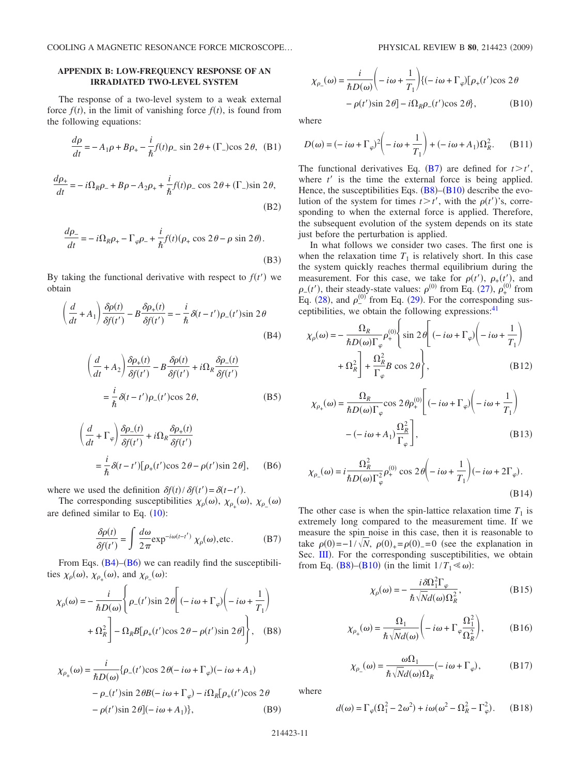# **APPENDIX B: LOW-FREQUENCY RESPONSE OF AN IRRADIATED TWO-LEVEL SYSTEM**

The response of a two-level system to a weak external force  $f(t)$ , in the limit of vanishing force  $f(t)$ , is found from the following equations:

$$
\frac{d\rho}{dt} = -A_1 \rho + B \rho_+ - \frac{i}{\hbar} f(t) \rho_- \sin 2\theta + (\Gamma_-) \cos 2\theta, \text{ (B1)}
$$

$$
\frac{d\rho_+}{dt} = -i\Omega_R \rho_- + B\rho - A_2 \rho_+ + \frac{i}{\hbar} f(t)\rho_- \cos 2\theta + (\Gamma_-) \sin 2\theta,
$$
\n(B2)

$$
\frac{d\rho_-}{dt} = -i\Omega_R \rho_+ - \Gamma_\varphi \rho_- + \frac{i}{\hbar} f(t) (\rho_+ \cos 2\theta - \rho \sin 2\theta).
$$
\n(B3)

By taking the functional derivative with respect to  $f(t')$  we obtain

<span id="page-10-8"></span>
$$
\left(\frac{d}{dt} + A_1\right) \frac{\delta \rho(t)}{\delta f(t')} - B \frac{\delta \rho_+(t)}{\delta f(t')} = -\frac{i}{\hbar} \delta(t - t') \rho_-(t') \sin 2\theta
$$
\n(B4)

$$
\left(\frac{d}{dt} + A_2\right) \frac{\delta \rho_+(t)}{\delta f(t')} - B \frac{\delta \rho(t)}{\delta f(t')} + i\Omega_R \frac{\delta \rho_-(t)}{\delta f(t')}
$$

$$
= \frac{i}{\hbar} \delta(t - t')\rho_-(t')\cos 2\theta,
$$
(B5)

<span id="page-10-9"></span>
$$
\left(\frac{d}{dt} + \Gamma_{\varphi}\right) \frac{\delta \rho_{-}(t)}{\delta f(t')} + i\Omega_{R} \frac{\delta \rho_{+}(t)}{\delta f(t')}
$$

$$
= \frac{i}{\hbar} \delta(t - t')[\rho_{+}(t') \cos 2\theta - \rho(t') \sin 2\theta], \quad (B6)
$$

where we used the definition  $\delta f(t)/\delta f(t') = \delta(t-t')$ .

<span id="page-10-10"></span>The corresponding susceptibilities  $\chi_{\rho}(\omega)$ ,  $\chi_{\rho_+}(\omega)$ ,  $\chi_{\rho_-}(\omega)$ are defined similar to Eq.  $(10)$  $(10)$  $(10)$ :

$$
\frac{\delta \rho(t)}{\delta f(t')} = \int \frac{d\omega}{2\pi} \exp^{-i\omega(t-t')} \chi_{\rho}(\omega), \text{etc.}
$$
 (B7)

From Eqs.  $(B4)$  $(B4)$  $(B4)$ – $(B6)$  $(B6)$  $(B6)$  we can readily find the susceptibilities  $\chi_{\rho}(\omega)$ ,  $\chi_{\rho_{+}}(\omega)$ , and  $\chi_{\rho_{-}}(\omega)$ :

<span id="page-10-0"></span>
$$
\chi_{\rho}(\omega) = -\frac{i}{\hbar D(\omega)} \left\{ \rho_{-}(t') \sin 2\theta \left[ (-i\omega + \Gamma_{\varphi}) \left( -i\omega + \frac{1}{T_1} \right) \right. \\ \left. + \Omega_R^2 \right] - \Omega_R B [\rho_{+}(t') \cos 2\theta - \rho(t') \sin 2\theta] \right\}, \quad (B8)
$$

$$
\chi_{\rho_{+}}(\omega) = \frac{i}{\hbar D(\omega)} \{ \rho_{-}(t') \cos 2\theta(-i\omega + \Gamma_{\varphi})(-i\omega + A_{1}) - \rho_{-}(t') \sin 2\theta B(-i\omega + \Gamma_{\varphi}) - i\Omega_{R} [\rho_{+}(t') \cos 2\theta - \rho(t') \sin 2\theta] (-i\omega + A_{1}) \}, \tag{B9}
$$

<span id="page-10-1"></span>
$$
\chi_{\rho_{-}}(\omega) = \frac{i}{\hbar D(\omega)} \left( -i\omega + \frac{1}{T_1} \right) \{ (-i\omega + \Gamma_{\varphi}) [\rho_{+}(t') \cos 2\theta
$$

$$
- \rho(t') \sin 2\theta \} - i\Omega_{R}\rho_{-}(t') \cos 2\theta \}, \tag{B10}
$$

where

<span id="page-10-2"></span>
$$
D(\omega) = (-i\omega + \Gamma_{\varphi})^2 \left( -i\omega + \frac{1}{T_1} \right) + (-i\omega + A_1)\Omega_R^2.
$$
 (B11)

The functional derivatives Eq. ([B7](#page-10-10)) are defined for  $t > t'$ , where  $t'$  is the time the external force is being applied. Hence, the susceptibilities Eqs.  $(B8)$  $(B8)$  $(B8)$ – $(B10)$  $(B10)$  $(B10)$  describe the evolution of the system for times  $t > t'$ , with the  $\rho(t')$ 's, corresponding to when the external force is applied. Therefore, the subsequent evolution of the system depends on its state just before the perturbation is applied.

In what follows we consider two cases. The first one is when the relaxation time  $T_1$  is relatively short. In this case the system quickly reaches thermal equilibrium during the measurement. For this case, we take for  $\rho(t')$ ,  $\rho_+(t'_{\alpha})$ , and  $\rho_{-}(t')$ , their steady-state values:  $\rho^{(0)}$  from Eq. ([27](#page-3-4)),  $\rho_{+}^{(0)}$  from Eq. ([28](#page-3-5)), and  $\rho_{-}^{(0)}$  from Eq. ([29](#page-3-6)). For the corresponding susceptibilities, we obtain the following expressions:<sup>41</sup>

<span id="page-10-3"></span>
$$
\chi_{\rho}(\omega) = -\frac{\Omega_R}{\hbar D(\omega)\Gamma_{\varphi}} \rho_{+}^{(0)} \left\{ \sin 2\theta \left[ (-i\omega + \Gamma_{\varphi}) \left( -i\omega + \frac{1}{T_1} \right) \right. \right. \\ \left. + \Omega_R^2 \right\} + \frac{\Omega_R^2}{\Gamma_{\varphi}} B \cos 2\theta \right\}, \tag{B12}
$$

$$
\chi_{\rho_{+}}(\omega) = \frac{\Omega_{R}}{\hbar D(\omega)\Gamma_{\varphi}} \cos 2\theta \rho_{+}^{(0)} \left[ (-i\omega + \Gamma_{\varphi}) \left( -i\omega + \frac{1}{T_{1}} \right) - (-i\omega + A_{1}) \frac{\Omega_{R}^{2}}{\Gamma_{\varphi}} \right],
$$
\n(B13)

<span id="page-10-4"></span>
$$
\chi_{\rho_{-}}(\omega) = i \frac{\Omega_R^2}{\hbar D(\omega)\Gamma_{\varphi}^2} \rho_{+}^{(0)} \cos 2\theta \left( -i\omega + \frac{1}{T_1} \right) \left( -i\omega + 2\Gamma_{\varphi} \right). \tag{B14}
$$

The other case is when the spin-lattice relaxation time  $T_1$  is extremely long compared to the measurement time. If we measure the spin noise in this case, then it is reasonable to take  $\rho(0) = -1/\sqrt{N}$ ,  $\rho(0)_+ = \rho(0)_- = 0$  (see the explanation in Sec. [III](#page-2-0)). For the corresponding susceptibilities, we obtain from Eq. ([B8](#page-10-0))–([B10](#page-10-1)) (in the limit  $1/T_1 \ll \omega$ ):

$$
\chi_{\rho}(\omega) = -\frac{i\delta\Omega_1^2 \Gamma_{\varphi}}{\hbar \sqrt{N}d(\omega)\Omega_R^2},
$$
 (B15)

<span id="page-10-5"></span>
$$
\chi_{\rho_+}(\omega) = \frac{\Omega_1}{\hbar \sqrt{N}d(\omega)} \left( -i\omega + \Gamma_\varphi \frac{\Omega_1^2}{\Omega_R^2} \right),\tag{B16}
$$

$$
\chi_{\rho_{-}}(\omega) = \frac{\omega \Omega_{1}}{\hbar \sqrt{N} d(\omega) \Omega_{R}} (-i\omega + \Gamma_{\varphi}),
$$
 (B17)

<span id="page-10-7"></span><span id="page-10-6"></span>where

$$
d(\omega) = \Gamma_{\varphi}(\Omega_1^2 - 2\omega^2) + i\omega(\omega^2 - \Omega_R^2 - \Gamma_{\varphi}^2). \quad (B18)
$$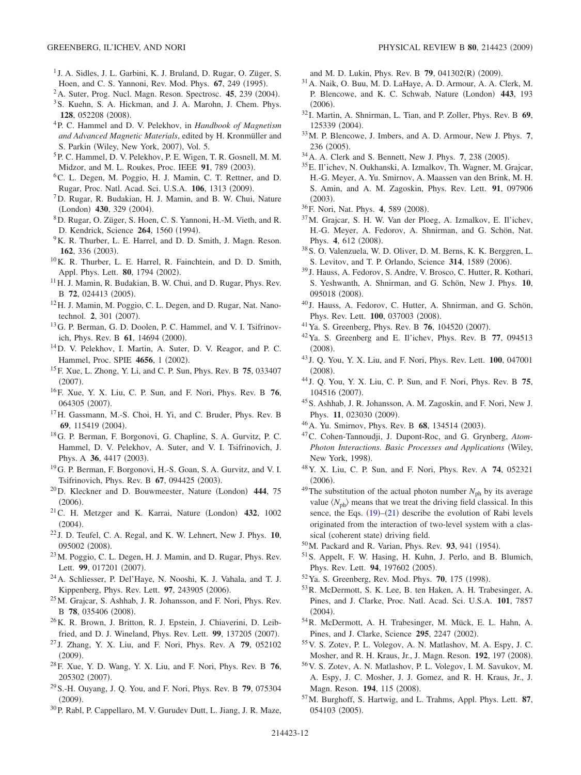- <span id="page-11-0"></span><sup>1</sup> J. A. Sidles, J. L. Garbini, K. J. Bruland, D. Rugar, O. Züger, S. Hoen, and C. S. Yannoni, Rev. Mod. Phys. **67**, 249 (1995).
- <sup>2</sup> A. Suter, Prog. Nucl. Magn. Reson. Spectrosc. **45**, 239 (2004).
- 3S. Kuehn, S. A. Hickman, and J. A. Marohn, J. Chem. Phys. **128**, 052208 (2008).
- 4P. C. Hammel and D. V. Pelekhov, in *Handbook of Magnetism and Advanced Magnetic Materials*, edited by H. Kronmüller and S. Parkin (Wiley, New York, 2007), Vol. 5.
- <span id="page-11-1"></span>5P. C. Hammel, D. V. Pelekhov, P. E. Wigen, T. R. Gosnell, M. M. Midzor, and M. L. Roukes, Proc. IEEE **91**, 789 (2003).
- <span id="page-11-2"></span>6C. L. Degen, M. Poggio, H. J. Mamin, C. T. Rettner, and D. Rugar, Proc. Natl. Acad. Sci. U.S.A. 106, 1313 (2009).
- <span id="page-11-3"></span>7D. Rugar, R. Budakian, H. J. Mamin, and B. W. Chui, Nature (London) **430**, 329 (2004).
- <span id="page-11-4"></span>8D. Rugar, O. Züger, S. Hoen, C. S. Yannoni, H.-M. Vieth, and R. D. Kendrick, Science **264**, 1560 (1994).
- <sup>9</sup>K. R. Thurber, L. E. Harrel, and D. D. Smith, J. Magn. Reson. **162**, 336 (2003).
- 10K. R. Thurber, L. E. Harrel, R. Fainchtein, and D. D. Smith, Appl. Phys. Lett. **80**, 1794 (2002).
- $11$  H. J. Mamin, R. Budakian, B. W. Chui, and D. Rugar, Phys. Rev. B 72, 024413 (2005).
- <span id="page-11-5"></span><sup>12</sup>H. J. Mamin, M. Poggio, C. L. Degen, and D. Rugar, Nat. Nanotechnol. **2**, 301 (2007).
- <span id="page-11-6"></span>13G. P. Berman, G. D. Doolen, P. C. Hammel, and V. I. Tsifrinovich, Phys. Rev. B 61, 14694 (2000).
- <span id="page-11-7"></span>14D. V. Pelekhov, I. Martin, A. Suter, D. V. Reagor, and P. C. Hammel, Proc. SPIE **4656**, 1 (2002).
- <span id="page-11-8"></span>15F. Xue, L. Zhong, Y. Li, and C. P. Sun, Phys. Rev. B **75**, 033407  $(2007).$
- 16F. Xue, Y. X. Liu, C. P. Sun, and F. Nori, Phys. Rev. B **76**, 064305 (2007).
- <sup>17</sup>H. Gassmann, M.-S. Choi, H. Yi, and C. Bruder, Phys. Rev. B 69, 115419 (2004).
- 18G. P. Berman, F. Borgonovi, G. Chapline, S. A. Gurvitz, P. C. Hammel, D. V. Pelekhov, A. Suter, and V. I. Tsifrinovich, J. Phys. A 36, 4417 (2003).
- <span id="page-11-9"></span>19G. P. Berman, F. Borgonovi, H.-S. Goan, S. A. Gurvitz, and V. I. Tsifrinovich, Phys. Rev. B 67, 094425 (2003).
- <span id="page-11-10"></span><sup>20</sup>D. Kleckner and D. Bouwmeester, Nature (London) 444, 75  $(2006).$
- <sup>21</sup>C. H. Metzger and K. Karrai, Nature (London) **432**, 1002  $(2004).$
- <sup>22</sup> J. D. Teufel, C. A. Regal, and K. W. Lehnert, New J. Phys. **10**, 095002 (2008).
- <span id="page-11-12"></span>23M. Poggio, C. L. Degen, H. J. Mamin, and D. Rugar, Phys. Rev. Lett. 99, 017201 (2007).
- <span id="page-11-11"></span>24A. Schliesser, P. Del'Haye, N. Nooshi, K. J. Vahala, and T. J. Kippenberg, Phys. Rev. Lett. 97, 243905 (2006).
- <span id="page-11-13"></span>25M. Grajcar, S. Ashhab, J. R. Johansson, and F. Nori, Phys. Rev. B 78, 035406 (2008).
- <span id="page-11-14"></span>26K. R. Brown, J. Britton, R. J. Epstein, J. Chiaverini, D. Leibfried, and D. J. Wineland, Phys. Rev. Lett. 99, 137205 (2007).
- <span id="page-11-15"></span><sup>27</sup> J. Zhang, Y. X. Liu, and F. Nori, Phys. Rev. A **79**, 052102  $(2009).$
- <span id="page-11-16"></span>28F. Xue, Y. D. Wang, Y. X. Liu, and F. Nori, Phys. Rev. B **76**, 205302 (2007).
- <span id="page-11-17"></span>29S.-H. Ouyang, J. Q. You, and F. Nori, Phys. Rev. B **79**, 075304  $(2009).$
- <span id="page-11-18"></span>30P. Rabl, P. Cappellaro, M. V. Gurudev Dutt, L. Jiang, J. R. Maze,

and M. D. Lukin, Phys. Rev. B **79**, 041302(R) (2009).

- <span id="page-11-19"></span>31A. Naik, O. Buu, M. D. LaHaye, A. D. Armour, A. A. Clerk, M. P. Blencowe, and K. C. Schwab, Nature (London) **443**, 193  $(2006).$
- <sup>32</sup> I. Martin, A. Shnirman, L. Tian, and P. Zoller, Phys. Rev. B **69**, 125339 (2004).
- 33M. P. Blencowe, J. Imbers, and A. D. Armour, New J. Phys. **7**, 236 (2005).
- <sup>34</sup> A. A. Clerk and S. Bennett, New J. Phys. **7**, 238 (2005).
- <span id="page-11-21"></span>35E. Il'ichev, N. Oukhanski, A. Izmalkov, Th. Wagner, M. Grajcar, H.-G. Meyer, A. Yu. Smirnov, A. Maassen van den Brink, M. H. S. Amin, and A. M. Zagoskin, Phys. Rev. Lett. **91**, 097906  $(2003).$
- <sup>36</sup> F. Nori, Nat. Phys. **4**, 589 (2008).
- <span id="page-11-22"></span>37M. Grajcar, S. H. W. Van der Ploeg, A. Izmalkov, E. Il'ichev, H.-G. Meyer, A. Fedorov, A. Shnirman, and G. Schön, Nat. Phys. **4**, 612 (2008).
- 38S. O. Valenzuela, W. D. Oliver, D. M. Berns, K. K. Berggren, L. S. Levitov, and T. P. Orlando, Science 314, 1589 (2006).
- <span id="page-11-23"></span><sup>39</sup> J. Hauss, A. Fedorov, S. Andre, V. Brosco, C. Hutter, R. Kothari, S. Yeshwanth, A. Shnirman, and G. Schön, New J. Phys. **10**, 095018 (2008).
- <sup>40</sup> J. Hauss, A. Fedorov, C. Hutter, A. Shnirman, and G. Schön, Phys. Rev. Lett. **100**, 037003 (2008).
- <span id="page-11-29"></span><sup>41</sup> Ya. S. Greenberg, Phys. Rev. B **76**, 104520 (2007).
- <span id="page-11-24"></span>42Ya. S. Greenberg and E. Il'ichev, Phys. Rev. B **77**, 094513  $(2008).$
- <span id="page-11-20"></span><sup>43</sup> J. Q. You, Y. X. Liu, and F. Nori, Phys. Rev. Lett. **100**, 047001  $(2008).$
- <span id="page-11-25"></span><sup>44</sup> J. Q. You, Y. X. Liu, C. P. Sun, and F. Nori, Phys. Rev. B **75**, 104516 (2007).
- <span id="page-11-26"></span>45S. Ashhab, J. R. Johansson, A. M. Zagoskin, and F. Nori, New J. Phys. 11, 023030 (2009).
- <span id="page-11-27"></span><sup>46</sup> A. Yu. Smirnov, Phys. Rev. B **68**, 134514 (2003).
- <span id="page-11-28"></span>47C. Cohen-Tannoudji, J. Dupont-Roc, and G. Grynberg, *Atom-Photon Interactions. Basic Processes and Applications* Wiley, New York, 1998).
- <span id="page-11-30"></span>48Y. X. Liu, C. P. Sun, and F. Nori, Phys. Rev. A **74**, 052321  $(2006).$
- <span id="page-11-31"></span><sup>49</sup>The substitution of the actual photon number  $N_{ph}$  by its average value  $\langle N_{\text{ph}} \rangle$  means that we treat the driving field classical. In this sence, the Eqs.  $(19)$  $(19)$  $(19)$ – $(21)$  $(21)$  $(21)$  describe the evolution of Rabi levels originated from the interaction of two-level system with a classical (coherent state) driving field.
- <span id="page-11-32"></span><sup>50</sup> M. Packard and R. Varian, Phys. Rev. **93**, 941 (1954).
- <span id="page-11-33"></span>51S. Appelt, F. W. Hasing, H. Kuhn, J. Perlo, and B. Blumich, Phys. Rev. Lett. 94, 197602 (2005).
- <span id="page-11-34"></span><sup>52</sup> Ya. S. Greenberg, Rev. Mod. Phys. **70**, 175 (1998).
- <span id="page-11-35"></span>53R. McDermott, S. K. Lee, B. ten Haken, A. H. Trabesinger, A. Pines, and J. Clarke, Proc. Natl. Acad. Sci. U.S.A. **101**, 7857  $(2004).$
- 54R. McDermott, A. H. Trabesinger, M. Mück, E. L. Hahn, A. Pines, and J. Clarke, Science 295, 2247 (2002).
- 55V. S. Zotev, P. L. Volegov, A. N. Matlashov, M. A. Espy, J. C. Mosher, and R. H. Kraus, Jr., J. Magn. Reson. **192**, 197 (2008).
- 56V. S. Zotev, A. N. Matlashov, P. L. Volegov, I. M. Savukov, M. A. Espy, J. C. Mosher, J. J. Gomez, and R. H. Kraus, Jr., J. Magn. Reson. 194, 115 (2008).
- <span id="page-11-36"></span>57M. Burghoff, S. Hartwig, and L. Trahms, Appl. Phys. Lett. **87**, 054103 (2005).